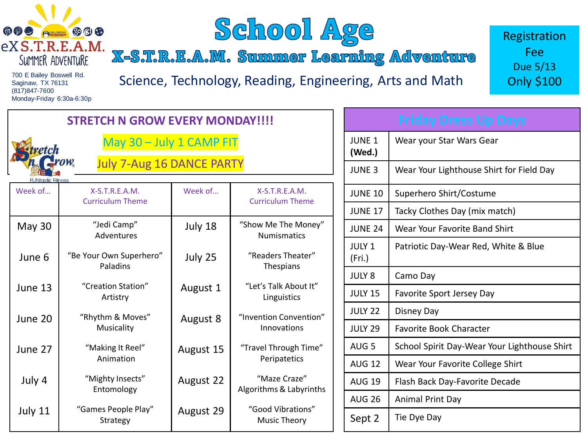



X-S.T.R.E.A.M. Summer Learning Adventure

700 E Bailey Boswell Rd. Saginaw, TX 76131 (817)847-7600 Monday-Friday 6:30a-6:30p

Science, Technology, Reading, Engineering, Arts and Math

Registration Fee Due 5/13 Only \$100

| <b>STRETCH N GROW EVERY MONDAY!!!!</b>                      |                                             |           |                                             |                         | <b>Friday Dress Up Days</b>                  |  |
|-------------------------------------------------------------|---------------------------------------------|-----------|---------------------------------------------|-------------------------|----------------------------------------------|--|
|                                                             | May 30 - July 1 CAMP FIT                    |           |                                             |                         | Wear your Star Wars Gear                     |  |
| <b>July 7-Aug 16 DANCE PARTY</b><br><b>UNtastic Fitness</b> |                                             |           |                                             |                         | Wear Your Lighthouse Shirt for Field Day     |  |
| Week of                                                     | $X-S.T.R.E.A.M.$<br><b>Curriculum Theme</b> | Week of   | $X-S.T.R.E.A.M.$<br><b>Curriculum Theme</b> | <b>JUNE 10</b>          | Superhero Shirt/Costume                      |  |
|                                                             |                                             |           |                                             | <b>JUNE 17</b>          | Tacky Clothes Day (mix match)                |  |
| May 30                                                      | "Jedi Camp"<br>Adventures                   | July 18   | "Show Me The Money"<br><b>Numismatics</b>   | <b>JUNE 24</b>          | Wear Your Favorite Band Shirt                |  |
| June 6                                                      | "Be Your Own Superhero"<br><b>Paladins</b>  | July 25   | "Readers Theater"<br>Thespians              | <b>JULY 1</b><br>(Fri.) | Patriotic Day-Wear Red, White & Blue         |  |
|                                                             |                                             |           |                                             | <b>JULY 8</b>           | Camo Day                                     |  |
| June 13                                                     | "Creation Station"<br>Artistry              | August 1  | "Let's Talk About It"<br>Linguistics        | <b>JULY 15</b>          | Favorite Sport Jersey Day                    |  |
| June 20                                                     | "Rhythm & Moves"<br>Musicality              | August 8  | "Invention Convention"<br>Innovations       | <b>JULY 22</b>          | Disney Day                                   |  |
|                                                             |                                             |           |                                             | <b>JULY 29</b>          | <b>Favorite Book Character</b>               |  |
| June 27                                                     | "Making It Reel"<br>Animation               | August 15 | "Travel Through Time"<br>Peripatetics       | AUG <sub>5</sub>        | School Spirit Day-Wear Your Lighthouse Shirt |  |
|                                                             |                                             |           |                                             | <b>AUG 12</b>           | Wear Your Favorite College Shirt             |  |
| July 4                                                      | "Mighty Insects"<br>Entomology              | August 22 | "Maze Craze"<br>Algorithms & Labyrinths     | <b>AUG 19</b>           | Flash Back Day-Favorite Decade               |  |
|                                                             |                                             |           |                                             | <b>AUG 26</b>           | Animal Print Day                             |  |
| July 11                                                     | "Games People Play"<br>Strategy             | August 29 | "Good Vibrations"<br><b>Music Theory</b>    | Sept 2                  | Tie Dye Day                                  |  |